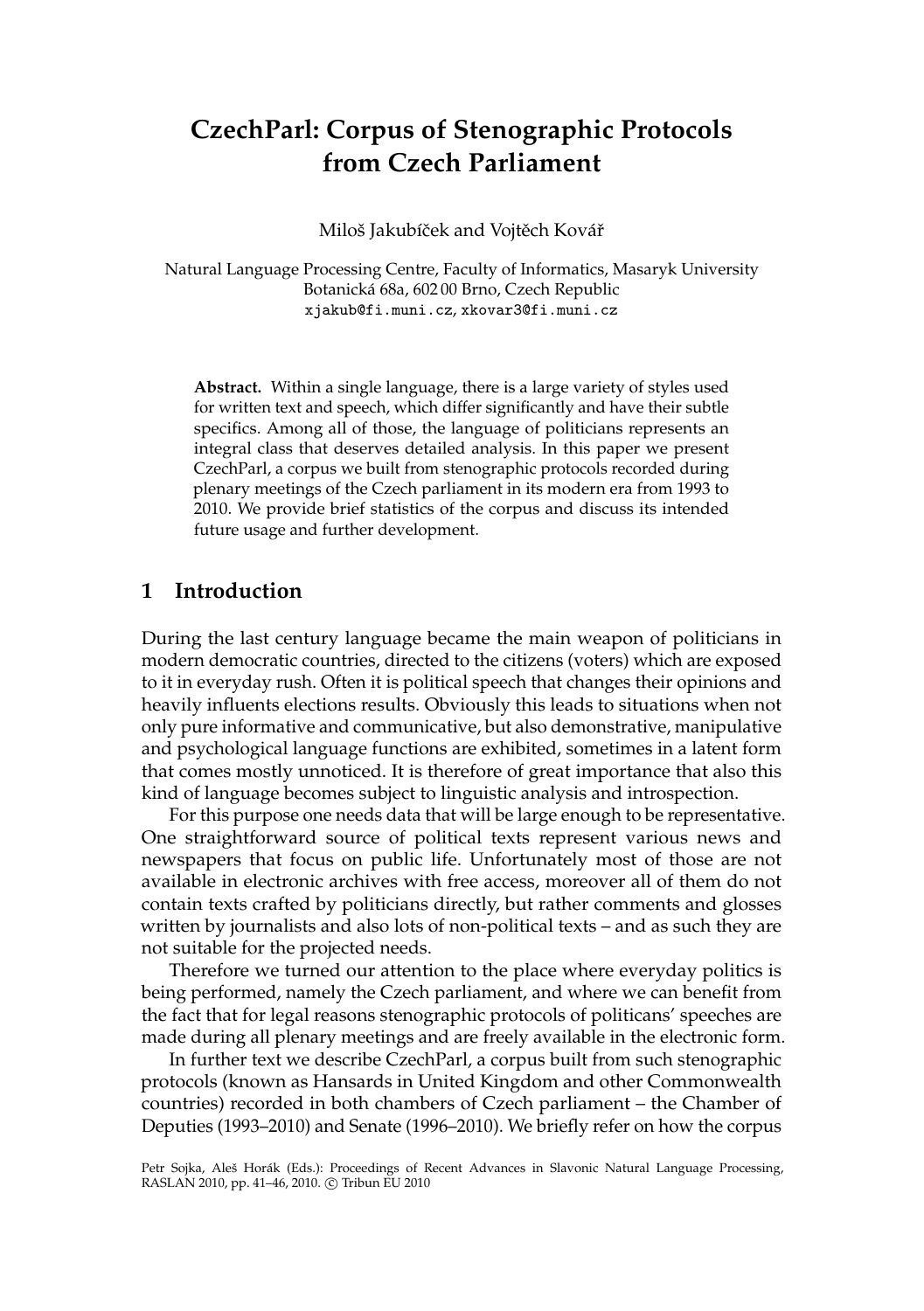# **CzechParl: Corpus of Stenographic Protocols from Czech Parliament**

Miloš Jakubíček and Vojtěch Kovář

Natural Language Processing Centre, Faculty of Informatics, Masaryk University Botanická 68a, 602 00 Brno, Czech Republic xjakub@fi.muni.cz, xkovar3@fi.muni.cz

**Abstract.** Within a single language, there is a large variety of styles used for written text and speech, which differ significantly and have their subtle specifics. Among all of those, the language of politicians represents an integral class that deserves detailed analysis. In this paper we present CzechParl, a corpus we built from stenographic protocols recorded during plenary meetings of the Czech parliament in its modern era from 1993 to 2010. We provide brief statistics of the corpus and discuss its intended future usage and further development.

#### **1 Introduction**

During the last century language became the main weapon of politicians in modern democratic countries, directed to the citizens (voters) which are exposed to it in everyday rush. Often it is political speech that changes their opinions and heavily influents elections results. Obviously this leads to situations when not only pure informative and communicative, but also demonstrative, manipulative and psychological language functions are exhibited, sometimes in a latent form that comes mostly unnoticed. It is therefore of great importance that also this kind of language becomes subject to linguistic analysis and introspection.

For this purpose one needs data that will be large enough to be representative. One straightforward source of political texts represent various news and newspapers that focus on public life. Unfortunately most of those are not available in electronic archives with free access, moreover all of them do not contain texts crafted by politicians directly, but rather comments and glosses written by journalists and also lots of non-political texts – and as such they are not suitable for the projected needs.

Therefore we turned our attention to the place where everyday politics is being performed, namely the Czech parliament, and where we can benefit from the fact that for legal reasons stenographic protocols of politicans' speeches are made during all plenary meetings and are freely available in the electronic form.

In further text we describe CzechParl, a corpus built from such stenographic protocols (known as Hansards in United Kingdom and other Commonwealth countries) recorded in both chambers of Czech parliament – the Chamber of Deputies (1993–2010) and Senate (1996–2010). We briefly refer on how the corpus

Petr Sojka, Aleš Horák (Eds.): Proceedings of Recent Advances in Slavonic Natural Language Processing, RASLAN 2010, pp. 41-46, 2010. © Tribun EU 2010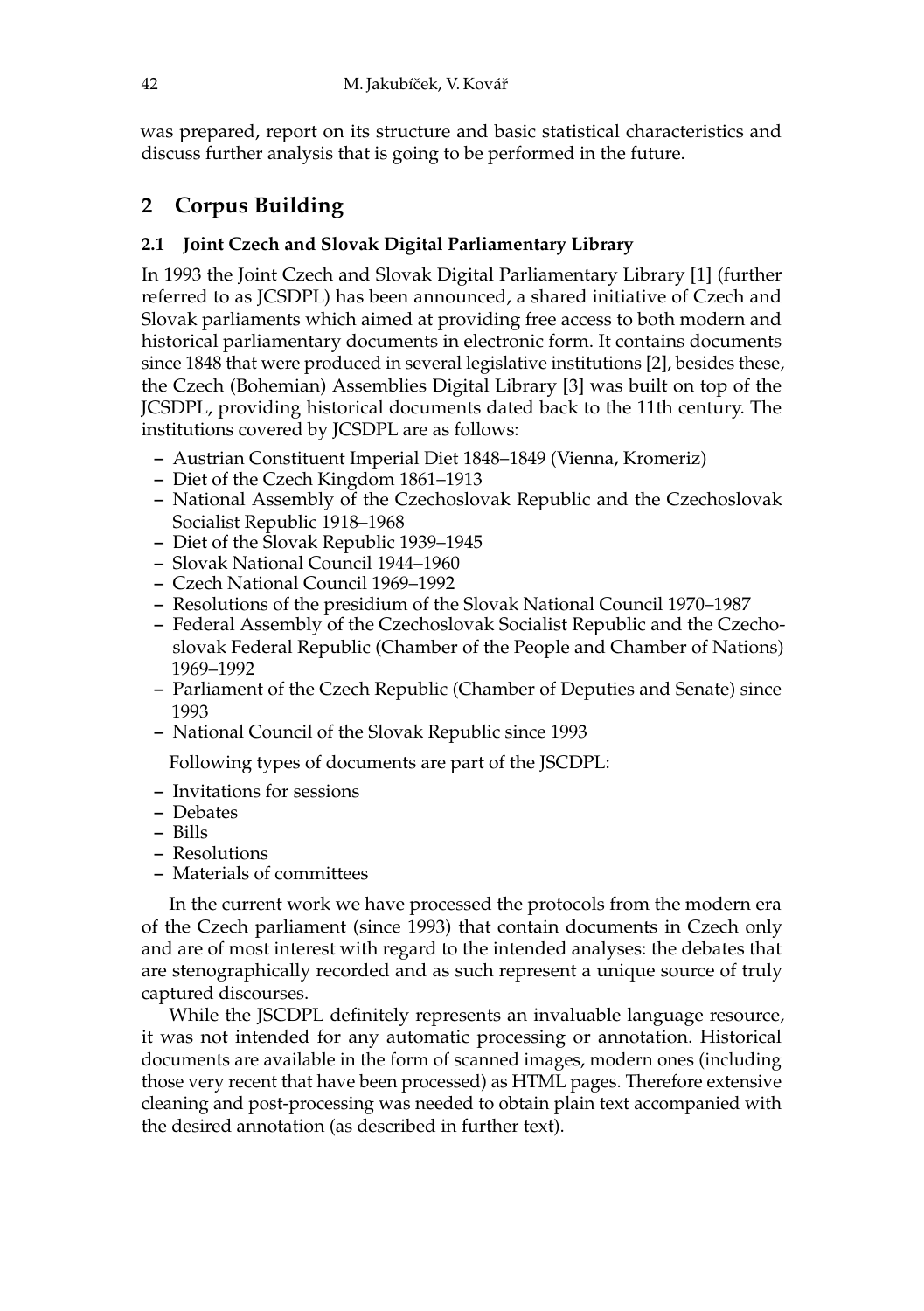was prepared, report on its structure and basic statistical characteristics and discuss further analysis that is going to be performed in the future.

## **2 Corpus Building**

### **2.1 Joint Czech and Slovak Digital Parliamentary Library**

In 1993 the Joint Czech and Slovak Digital Parliamentary Library [1] (further referred to as JCSDPL) has been announced, a shared initiative of Czech and Slovak parliaments which aimed at providing free access to both modern and historical parliamentary documents in electronic form. It contains documents since 1848 that were produced in several legislative institutions [2], besides these, the Czech (Bohemian) Assemblies Digital Library [3] was built on top of the JCSDPL, providing historical documents dated back to the 11th century. The institutions covered by JCSDPL are as follows:

- **–** Austrian Constituent Imperial Diet 1848–1849 (Vienna, Kromeriz)
- **–** Diet of the Czech Kingdom 1861–1913
- **–** National Assembly of the Czechoslovak Republic and the Czechoslovak Socialist Republic 1918–1968
- **–** Diet of the Slovak Republic 1939–1945
- **–** Slovak National Council 1944–1960
- **–** Czech National Council 1969–1992
- **–** Resolutions of the presidium of the Slovak National Council 1970–1987
- **–** Federal Assembly of the Czechoslovak Socialist Republic and the Czechoslovak Federal Republic (Chamber of the People and Chamber of Nations) 1969–1992
- **–** Parliament of the Czech Republic (Chamber of Deputies and Senate) since 1993
- **–** National Council of the Slovak Republic since 1993

Following types of documents are part of the JSCDPL:

- **–** Invitations for sessions
- **–** Debates
- **–** Bills
- **–** Resolutions
- **–** Materials of committees

In the current work we have processed the protocols from the modern era of the Czech parliament (since 1993) that contain documents in Czech only and are of most interest with regard to the intended analyses: the debates that are stenographically recorded and as such represent a unique source of truly captured discourses.

While the JSCDPL definitely represents an invaluable language resource, it was not intended for any automatic processing or annotation. Historical documents are available in the form of scanned images, modern ones (including those very recent that have been processed) as HTML pages. Therefore extensive cleaning and post-processing was needed to obtain plain text accompanied with the desired annotation (as described in further text).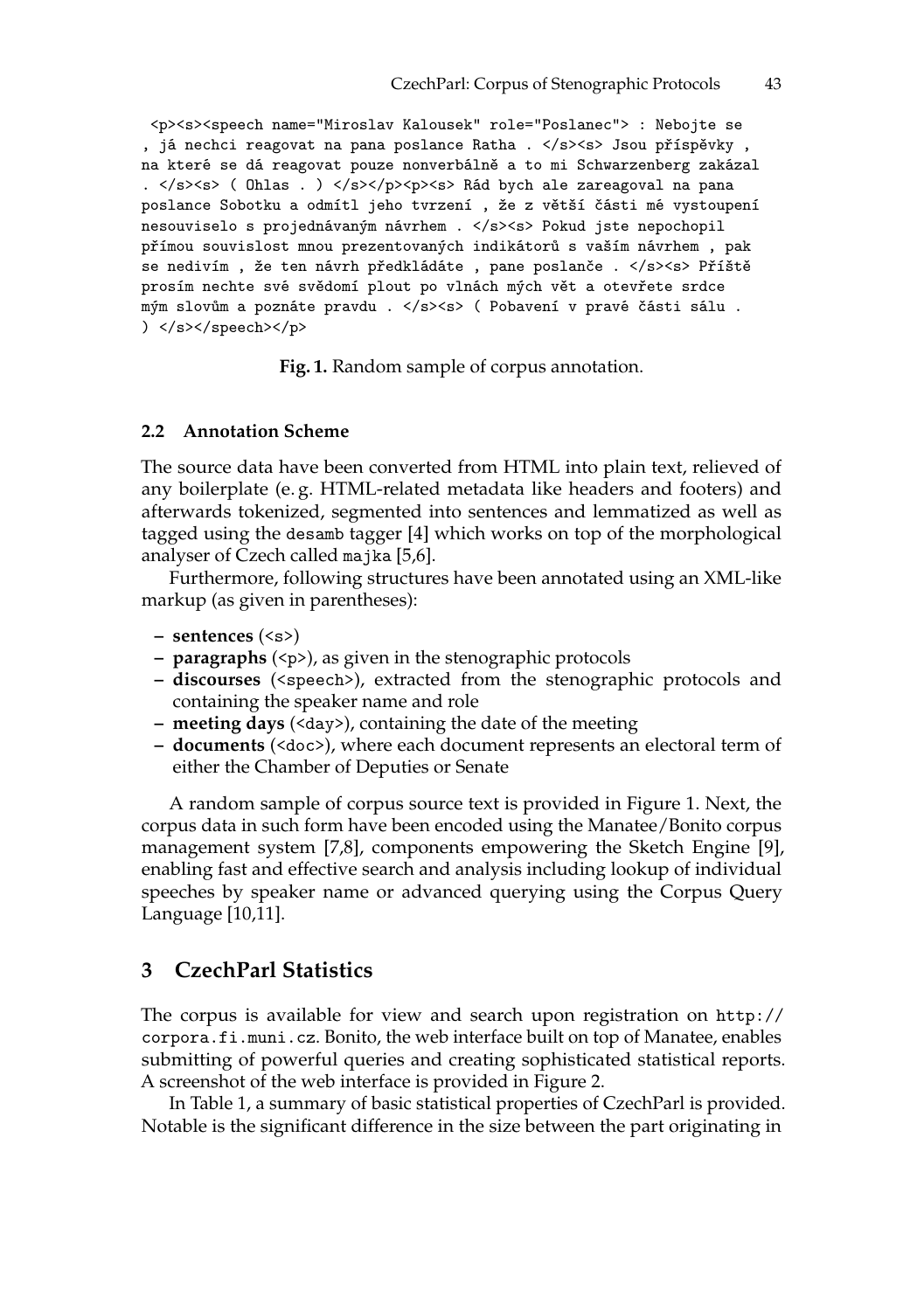<p><s><speech name="Miroslav Kalousek" role="Poslanec"> : Nebojte se , já nechci reagovat na pana poslance Ratha . </s><s> Jsou příspěvky , na které se dá reagovat pouze nonverbálně a to mi Schwarzenberg zakázal . </s> <s> ( Ohlas . ) </s></p>><p>><s> Rád bych ale zareagoval na pana poslance Sobotku a odmítl jeho tvrzení , že z větší části mé vystoupení nesouviselo s projednávaným návrhem . </s><s> Pokud jste nepochopil přímou souvislost mnou prezentovaných indikátorů s vaším návrhem , pak se nedivím , že ten návrh předkládáte , pane poslanče . </s><s> Příště prosím nechte své svědomí plout po vlnách mých vět a otevřete srdce mým slovům a poznáte pravdu . </s><s> ( Pobavení v pravé části sálu . ) </s></speech></p>

**Fig. 1.** Random sample of corpus annotation.

#### **2.2 Annotation Scheme**

The source data have been converted from HTML into plain text, relieved of any boilerplate (e. g. HTML-related metadata like headers and footers) and afterwards tokenized, segmented into sentences and lemmatized as well as tagged using the desamb tagger [4] which works on top of the morphological analyser of Czech called majka [5,6].

Furthermore, following structures have been annotated using an XML-like markup (as given in parentheses):

- **sentences** (<s>)
- **paragraphs** (<p>), as given in the stenographic protocols
- **discourses** (<speech>), extracted from the stenographic protocols and containing the speaker name and role
- **meeting days** (<day>), containing the date of the meeting
- **documents** (<doc>), where each document represents an electoral term of either the Chamber of Deputies or Senate

A random sample of corpus source text is provided in Figure 1. Next, the corpus data in such form have been encoded using the Manatee/Bonito corpus management system [7,8], components empowering the Sketch Engine [9], enabling fast and effective search and analysis including lookup of individual speeches by speaker name or advanced querying using the Corpus Query Language [10,11].

#### **3 CzechParl Statistics**

The corpus is available for view and search upon registration on http:// corpora.fi.muni.cz. Bonito, the web interface built on top of Manatee, enables submitting of powerful queries and creating sophisticated statistical reports. A screenshot of the web interface is provided in Figure 2.

In Table 1, a summary of basic statistical properties of CzechParl is provided. Notable is the significant difference in the size between the part originating in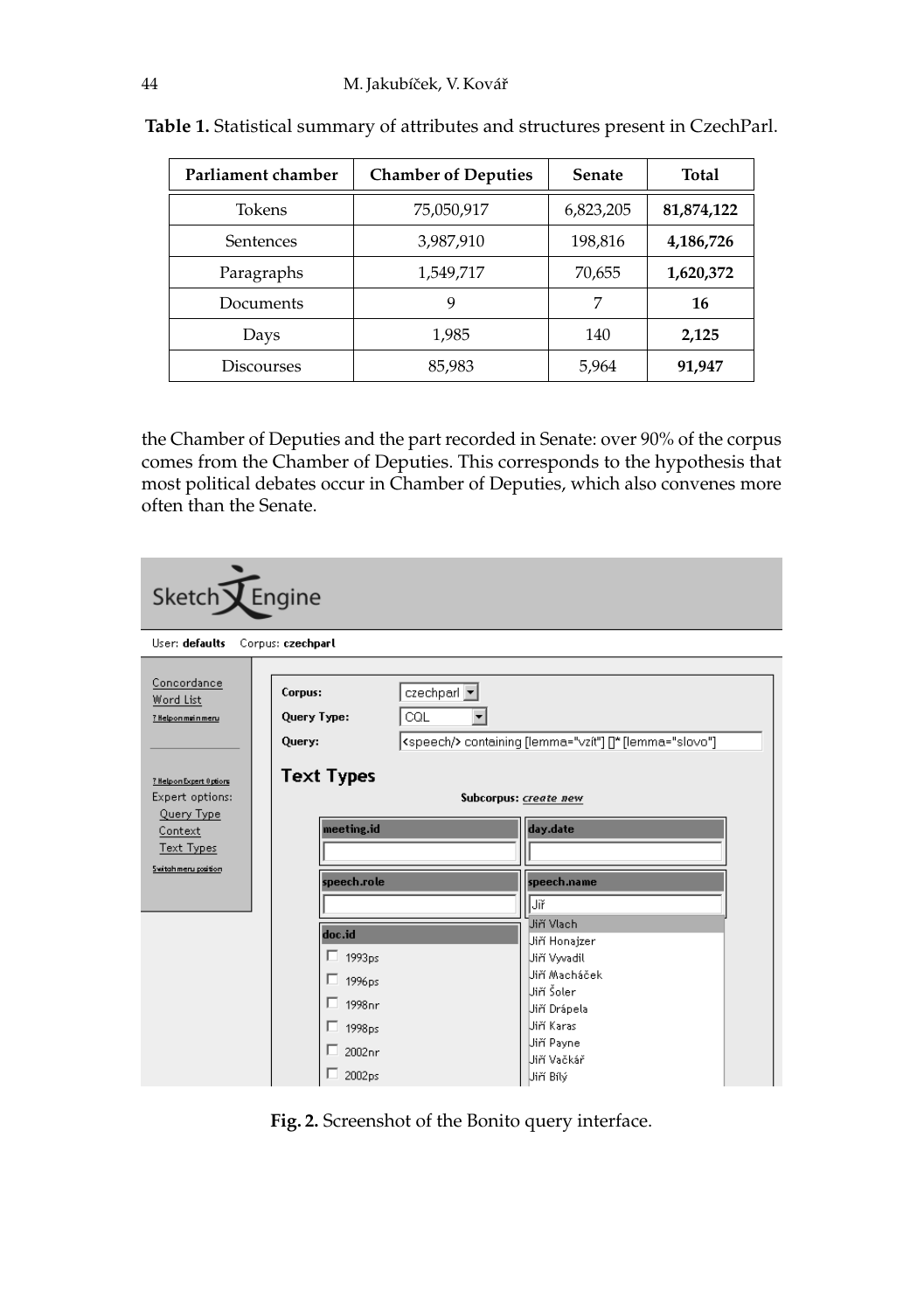| Parliament chamber | <b>Chamber of Deputies</b> | <b>Senate</b> | Total      |
|--------------------|----------------------------|---------------|------------|
| Tokens             | 75,050,917                 | 6,823,205     | 81,874,122 |
| Sentences          | 3,987,910                  | 198,816       | 4,186,726  |
| Paragraphs         | 1,549,717                  | 70,655        | 1,620,372  |
| Documents          | 9                          | 7             | 16         |
| Days               | 1,985                      | 140           | 2,125      |
| Discourses         | 85,983                     | 5,964         | 91,947     |

**Table 1.** Statistical summary of attributes and structures present in CzechParl.

the Chamber of Deputies and the part recorded in Senate: over 90% of the corpus comes from the Chamber of Deputies. This corresponds to the hypothesis that most political debates occur in Chamber of Deputies, which also convenes more often than the Senate.

| Sketch <b>V</b> Engine                                                                                     |                                                                                                                         |                                                                                                                                                    |  |  |
|------------------------------------------------------------------------------------------------------------|-------------------------------------------------------------------------------------------------------------------------|----------------------------------------------------------------------------------------------------------------------------------------------------|--|--|
| User: defaults<br>Corpus: czechparl                                                                        |                                                                                                                         |                                                                                                                                                    |  |  |
| Concordance<br>Word List<br>? Helpon main meru                                                             | czechparl v<br>Corpus:<br>CQL<br>Query Type:<br>Query:                                                                  | <speech></speech> containing [lemma="vzít"] []* [lemma="slovo"]                                                                                    |  |  |
| ? Help on Expert 0 ptions<br>Expert options:<br>Query Type<br>Context<br>Text Types<br>Switchmeru position | <b>Text Types</b><br>meeting.id<br>speech.role                                                                          | Subcorpus: create new<br>day.date<br>speech.name<br>Jiř                                                                                            |  |  |
|                                                                                                            | doc.id<br>$\Box$ 1993ps<br>$\Box$ 1996ps<br>$\Box$ 1998 <sub>pr</sub><br>$\Box$ 1998 <sub>ps</sub><br>2002 pr<br>2002ps | Jiří Vlach<br>Jiří Honajzer<br>Jiří Vvvadil<br>Uiří Macháček<br>Uiří Šoler<br>Jiří Drápela<br>Uiří Karas<br>Jiří Payne<br>Jiří Vačkář<br>Jiří Bílý |  |  |

**Fig. 2.** Screenshot of the Bonito query interface.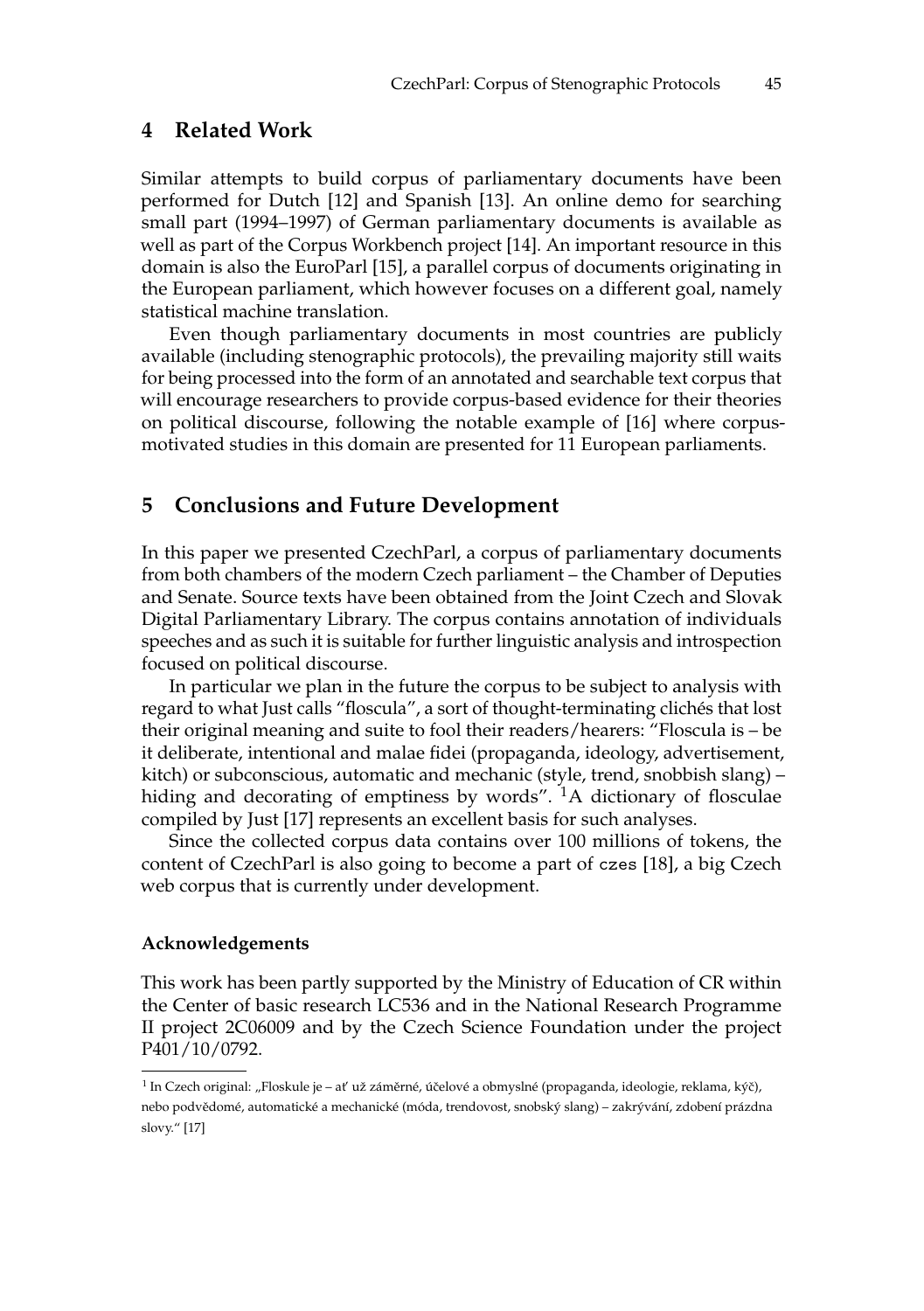#### **4 Related Work**

Similar attempts to build corpus of parliamentary documents have been performed for Dutch [12] and Spanish [13]. An online demo for searching small part (1994–1997) of German parliamentary documents is available as well as part of the Corpus Workbench project [14]. An important resource in this domain is also the EuroParl [15], a parallel corpus of documents originating in the European parliament, which however focuses on a different goal, namely statistical machine translation.

Even though parliamentary documents in most countries are publicly available (including stenographic protocols), the prevailing majority still waits for being processed into the form of an annotated and searchable text corpus that will encourage researchers to provide corpus-based evidence for their theories on political discourse, following the notable example of [16] where corpusmotivated studies in this domain are presented for 11 European parliaments.

#### **5 Conclusions and Future Development**

In this paper we presented CzechParl, a corpus of parliamentary documents from both chambers of the modern Czech parliament – the Chamber of Deputies and Senate. Source texts have been obtained from the Joint Czech and Slovak Digital Parliamentary Library. The corpus contains annotation of individuals speeches and as such it is suitable for further linguistic analysis and introspection focused on political discourse.

In particular we plan in the future the corpus to be subject to analysis with regard to what Just calls "floscula", a sort of thought-terminating clichés that lost their original meaning and suite to fool their readers/hearers: "Floscula is – be it deliberate, intentional and malae fidei (propaganda, ideology, advertisement, kitch) or subconscious, automatic and mechanic (style, trend, snobbish slang) – hiding and decorating of emptiness by words".  $^{1}$ A dictionary of flosculae compiled by Just [17] represents an excellent basis for such analyses.

Since the collected corpus data contains over 100 millions of tokens, the content of CzechParl is also going to become a part of czes [18], a big Czech web corpus that is currently under development.

#### **Acknowledgements**

This work has been partly supported by the Ministry of Education of CR within the Center of basic research LC536 and in the National Research Programme II project 2C06009 and by the Czech Science Foundation under the project P401/10/0792.

 $^1$  In Czech original: "Floskule je – ať už záměrné, účelové a obmyslné (propaganda, ideologie, reklama, kýč), nebo podvědomé, automatické a mechanické (móda, trendovost, snobský slang) – zakrývání, zdobení prázdna slovy." [17]